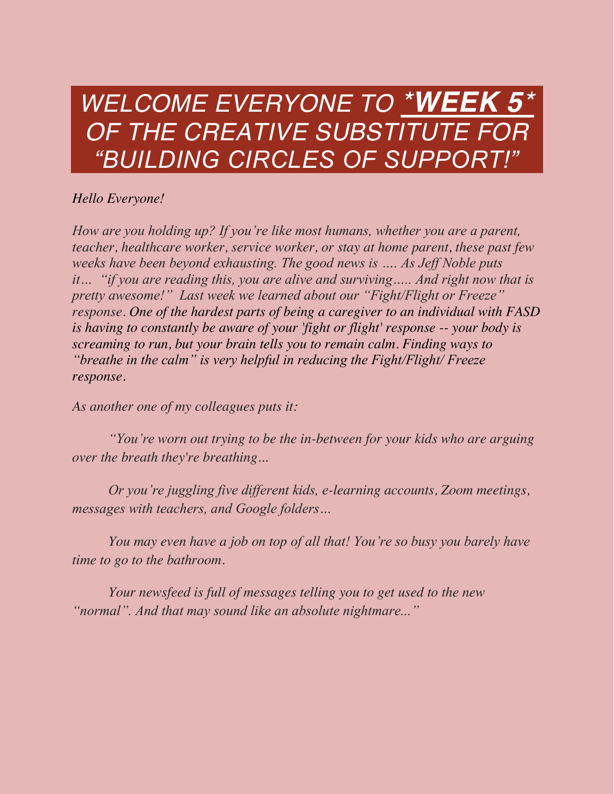# *WELCOME EVERYONE TO \*WEEK 5\* OF THE CREATIVE SUBSTITUTE FOR "BUILDING CIRCLES OF SUPPORT!"*

#### *Hello Everyone!*

*How are you holding up? If you're like most humans, whether you are a parent, teacher, healthcare worker, service worker, or stay at home parent, these past few weeks have been beyond exhausting. The good news is …. As Jeff Noble puts it… "if you are reading this, you are alive and surviving….. And right now that is pretty awesome!" Last week we learned about our "Fight/Flight or Freeze" response. One of the hardest parts of being a caregiver to an individual with FASD is having to constantly be aware of your 'fight or flight' response -- your body is screaming to run, but your brain tells you to remain calm. Finding ways to "breathe in the calm" is very helpful in reducing the Fight/Flight/ Freeze response.*

*As another one of my colleagues puts it:*

*"You're worn out trying to be the in-between for your kids who are arguing over the breath they're breathing...*

*Or you're juggling five different kids, e-learning accounts, Zoom meetings, messages with teachers, and Google folders…*

*You may even have a job on top of all that! You're so busy you barely have time to go to the bathroom.*

*Your newsfeed is full of messages telling you to get used to the new "normal". And that may sound like an absolute nightmare..."*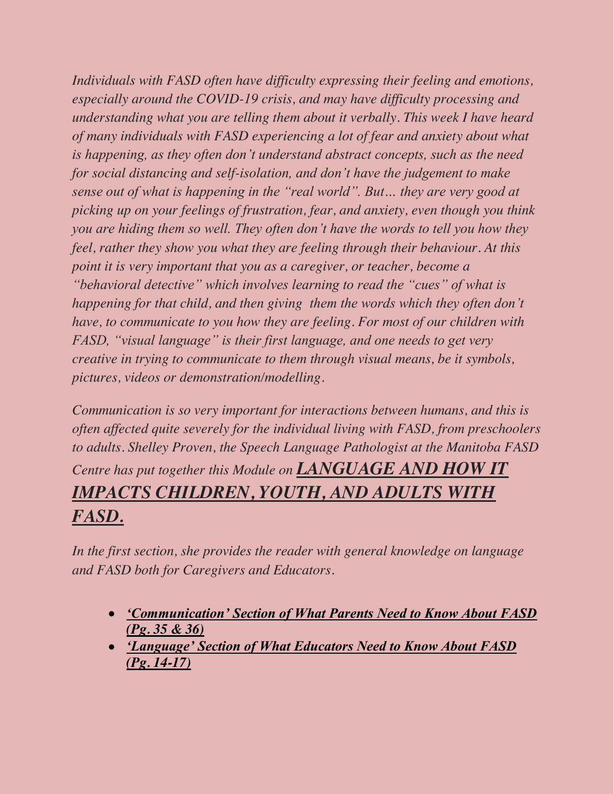*Individuals with FASD often have difficulty expressing their feeling and emotions, especially around the COVID-19 crisis, and may have difficulty processing and understanding what you are telling them about it verbally. This week I have heard of many individuals with FASD experiencing a lot of fear and anxiety about what is happening, as they often don't understand abstract concepts, such as the need for social distancing and self-isolation, and don't have the judgement to make sense out of what is happening in the "real world". But… they are very good at picking up on your feelings of frustration, fear, and anxiety, even though you think you are hiding them so well. They often don't have the words to tell you how they feel, rather they show you what they are feeling through their behaviour. At this point it is very important that you as a caregiver, or teacher, become a "behavioral detective" which involves learning to read the "cues" of what is happening for that child, and then giving them the words which they often don't have, to communicate to you how they are feeling. For most of our children with FASD, "visual language" is their first language, and one needs to get very creative in trying to communicate to them through visual means, be it symbols, pictures, videos or demonstration/modelling.*

*Communication is so very important for interactions between humans, and this is often affected quite severely for the individual living with FASD, from preschoolers to adults. Shelley Proven, the Speech Language Pathologist at the Manitoba FASD Centre has put together this Module on LANGUAGE AND HOW IT IMPACTS CHILDREN, YOUTH, AND ADULTS WITH FASD.*

*In the first section, she provides the reader with general knowledge on language and FASD both for Caregivers and Educators.* 

- x *['Communication' Section of What Parents Need to Know About FASD](https://jumpshare.com/v/pBTzYHTNTZMPtZLwF9Bp)  [\(Pg. 35 & 36\)](https://jumpshare.com/v/pBTzYHTNTZMPtZLwF9Bp)*
- x *['Language' Section of What Educators Need to Know About FASD](https://jumpshare.com/v/EQnroyXCnipL0osGDs00)  [\(Pg. 14-17\)](https://jumpshare.com/v/EQnroyXCnipL0osGDs00)*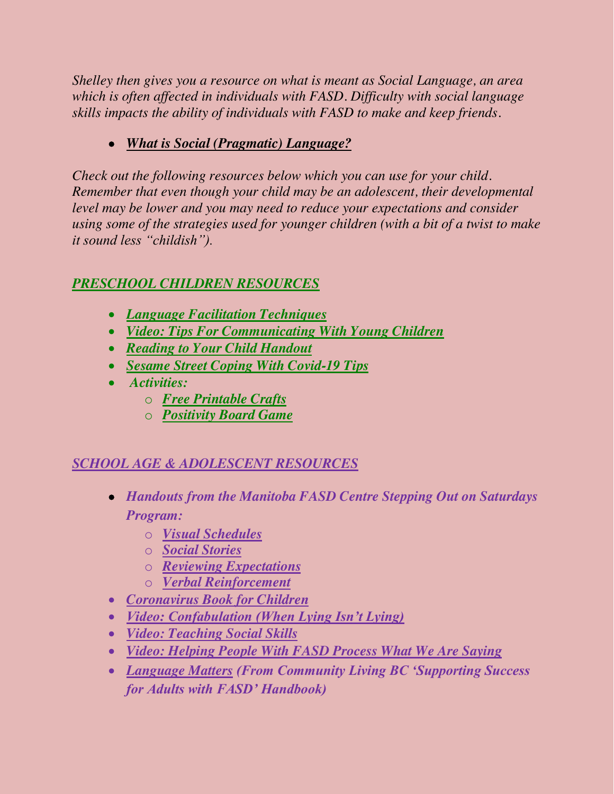*Shelley then gives you a resource on what is meant as Social Language, an area which is often affected in individuals with FASD. Difficulty with social language skills impacts the ability of individuals with FASD to make and keep friends.* 

## x *[What is Social \(Pragmatic\) Language?](https://jumpshare.com/v/BKSOiEH359n3O8PwKjqg)*

*Check out the following resources below which you can use for your child. Remember that even though your child may be an adolescent, their developmental level may be lower and you may need to reduce your expectations and consider using some of the strategies used for younger children (with a bit of a twist to make it sound less "childish").*

#### *PRESCHOOL CHILDREN RESOURCES*

- x *[Language Facilitation Techniques](https://jumpshare.com/v/V3EN8oTr8pZuDW9J2Y25)*
- x *[Video: Tips For Communicating With Young Children](https://youtu.be/w5zjhZRSKpg)*
- x *[Reading to Your Child Handout](https://jumpshare.com/v/8BXR6B1L06AM74KcnEz2)*
- x *[Sesame Street Coping With Covid-19 Tips](https://autism.sesamestreet.org/coping-with-covid/)*
- x *Activities:*
	- o *[Free Printable Crafts](https://mrsmerry.com/)*
	- o *[Positivity Board Game](https://jumpshare.com/v/iLjPwWms0br93atLp6W9)*

## *SCHOOL AGE & ADOLESCENT RESOURCES*

- x *Handouts from the Manitoba FASD Centre Stepping Out on Saturdays Program:*
	- o *[Visual Schedules](https://jumpshare.com/v/Ml8WPH8m4aox2p8h78vJ)*
	- o *[Social Stories](https://jumpshare.com/v/0B2qSF7s3dLU6ETqM88Z)*
	- o *[Reviewing Expectations](https://jumpshare.com/v/6J5OJwlQe5MbUdd3z1f5)*
	- o *[Verbal Reinforcement](https://jumpshare.com/v/GdrviCrheK6YcpUFkuUA)*
- x *[Coronavirus Book for Children](https://nosycrow.com/blog/released-today-free-information-book-explaining-coronavirus-children-illustrated-gruffalo-illustrator-axel-scheffler/?fbclid=IwAR3a-6sMhJtfW6reOBj8fw9E9wRbwXkKah1NM-nl00e2ce8NO1CT8hqsb8U)*
- x *[Video: Confabulation \(When Lying Isn't Lying\)](https://www.youtube.com/watch?v=UJI8XN5EEC4&feature=youtu.be)*
- x *[Video: Teaching Social Skills](https://youtu.be/HOekiyPk2pM)*
- x *[Video: Helping People With FASD Process What We Are Saying](https://www.youtube.com/watch?v=LwxVZXefkr4)*
- x *[Language Matters](https://jumpshare.com/v/XUvmIamYqc1AktgwirOX) (From Community Living BC 'Supporting Success for Adults with FASD' Handbook)*